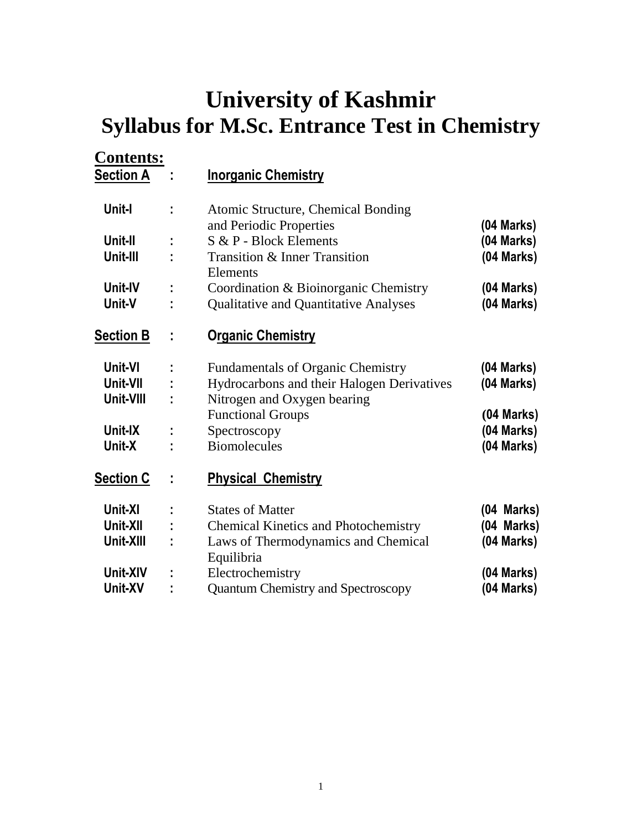# **University of Kashmir Syllabus for M.Sc. Entrance Test in Chemistry**

| <b>Contents:</b><br><b>Section A</b> |               | <b>Inorganic Chemistry</b>                  |                          |
|--------------------------------------|---------------|---------------------------------------------|--------------------------|
| Unit-I                               | t,            | Atomic Structure, Chemical Bonding          |                          |
|                                      |               | and Periodic Properties                     | (04 Marks)               |
| Unit-II                              |               | S & P - Block Elements                      | (04 Marks)               |
| Unit-III                             |               | Transition & Inner Transition               | (04 Marks)               |
| Unit-IV                              |               | Elements                                    |                          |
| Unit-V                               | ÷<br>t        | Coordination & Bioinorganic Chemistry       | (04 Marks)<br>(04 Marks) |
|                                      |               | Qualitative and Quantitative Analyses       |                          |
| <b>Section B</b>                     | ÷             | <b>Organic Chemistry</b>                    |                          |
| Unit-VI                              |               | <b>Fundamentals of Organic Chemistry</b>    | $(04$ Marks)             |
| Unit-VII                             | ÷             | Hydrocarbons and their Halogen Derivatives  | $(04$ Marks)             |
| Unit-VIII                            | ÷             | Nitrogen and Oxygen bearing                 |                          |
|                                      |               | <b>Functional Groups</b>                    | (04 Marks)               |
| Unit-IX                              | $\frac{1}{2}$ | Spectroscopy                                | (04 Marks)               |
| Unit-X                               |               | <b>Biomolecules</b>                         | (04 Marks)               |
| <b>Section C</b>                     | t             | <b>Physical Chemistry</b>                   |                          |
| Unit-XI                              | t             | <b>States of Matter</b>                     | (04 Marks)               |
| Unit-XII                             | $\frac{1}{2}$ | <b>Chemical Kinetics and Photochemistry</b> | (04 Marks)               |
| Unit-XIII                            | t,            | Laws of Thermodynamics and Chemical         | (04 Marks)               |
|                                      |               | Equilibria                                  |                          |
| Unit-XIV                             | ţ,            | Electrochemistry                            | (04 Marks)               |
| Unit-XV                              | t             | Quantum Chemistry and Spectroscopy          | $(04$ Marks)             |
|                                      |               |                                             |                          |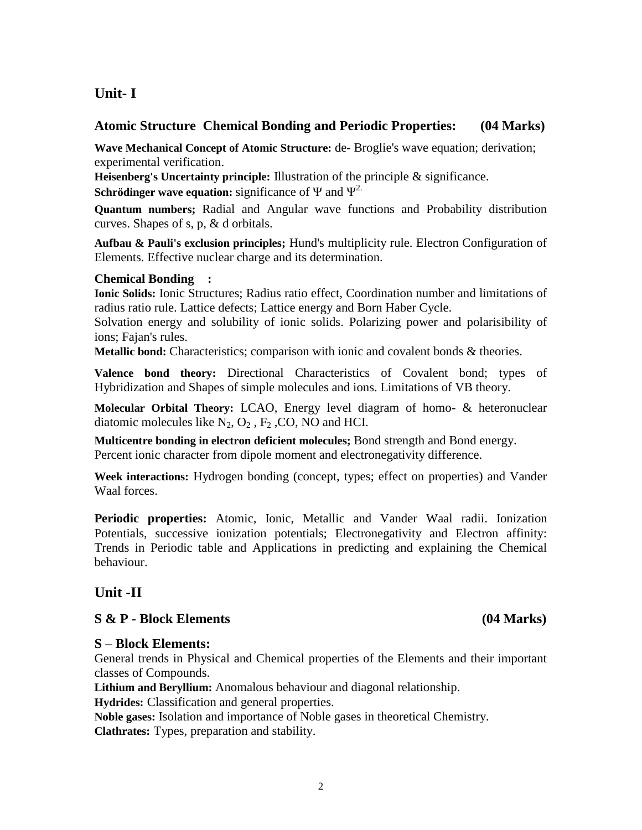## **Unit- I**

## **Atomic Structure Chemical Bonding and Periodic Properties: (04 Marks)**

**Wave Mechanical Concept of Atomic Structure:** de- Broglie's wave equation; derivation; experimental verification.

**Heisenberg's Uncertainty principle:** Illustration of the principle & significance.

**Schrödinger wave equation:** significance of  $\Psi$  and  $\Psi^2$ .

**Quantum numbers;** Radial and Angular wave functions and Probability distribution curves. Shapes of s, p, & d orbitals.

**Aufbau & Pauli's exclusion principles;** Hund's multiplicity rule. Electron Configuration of Elements. Effective nuclear charge and its determination.

### **Chemical Bonding :**

**Ionic Solids:** Ionic Structures; Radius ratio effect, Coordination number and limitations of radius ratio rule. Lattice defects; Lattice energy and Born Haber Cycle.

Solvation energy and solubility of ionic solids. Polarizing power and polarisibility of ions; Fajan's rules.

**Metallic bond:** Characteristics; comparison with ionic and covalent bonds & theories.

**Valence bond theory:** Directional Characteristics of Covalent bond; types of Hybridization and Shapes of simple molecules and ions. Limitations of VB theory.

**Molecular Orbital Theory:** LCAO, Energy level diagram of homo- & heteronuclear diatomic molecules like  $N_2$ ,  $O_2$ ,  $F_2$ , CO, NO and HCI.

**Multicentre bonding in electron deficient molecules;** Bond strength and Bond energy. Percent ionic character from dipole moment and electronegativity difference.

**Week interactions:** Hydrogen bonding (concept, types; effect on properties) and Vander Waal forces.

**Periodic properties:** Atomic, Ionic, Metallic and Vander Waal radii. Ionization Potentials, successive ionization potentials; Electronegativity and Electron affinity: Trends in Periodic table and Applications in predicting and explaining the Chemical behaviour.

## **Unit -II**

## **S & P - Block Elements (04 Marks)**

#### **S – Block Elements:**

General trends in Physical and Chemical properties of the Elements and their important classes of Compounds.

**Lithium and Beryllium:** Anomalous behaviour and diagonal relationship.

**Hydrides:** Classification and general properties.

**Noble gases:** Isolation and importance of Noble gases in theoretical Chemistry. **Clathrates:** Types, preparation and stability.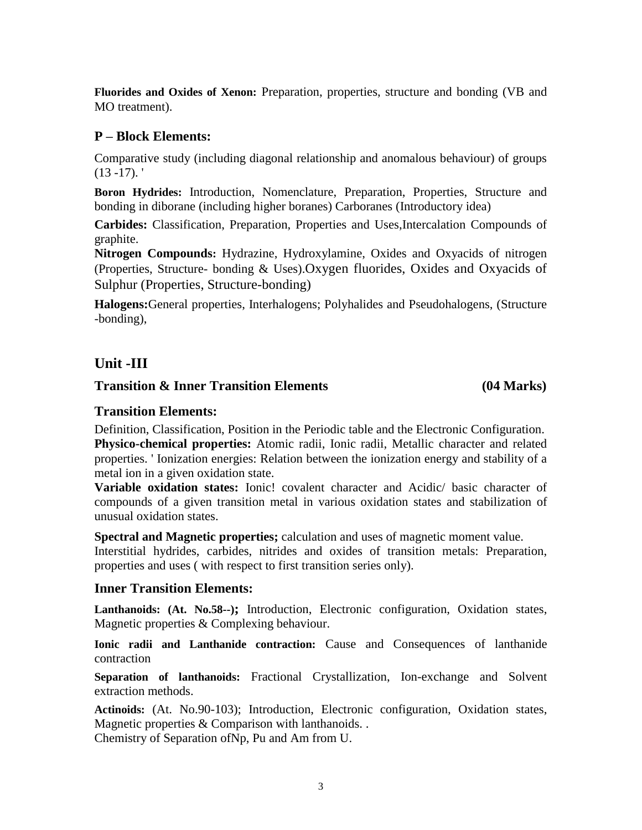**Fluorides and Oxides of Xenon:** Preparation, properties, structure and bonding (VB and MO treatment).

## **P – Block Elements:**

Comparative study (including diagonal relationship and anomalous behaviour) of groups  $(13 - 17)$ .

**Boron Hydrides:** Introduction, Nomenclature, Preparation, Properties, Structure and bonding in diborane (including higher boranes) Carboranes (Introductory idea)

**Carbides:** Classification, Preparation, Properties and Uses,Intercalation Compounds of graphite.

**Nitrogen Compounds:** Hydrazine, Hydroxylamine, Oxides and Oxyacids of nitrogen (Properties, Structure- bonding & Uses).Oxygen fluorides, Oxides and Oxyacids of Sulphur (Properties, Structure-bonding)

**Halogens:**General properties, Interhalogens; Polyhalides and Pseudohalogens, (Structure -bonding),

## **Unit -III**

## **Transition & Inner Transition Elements (04 Marks)**

## **Transition Elements:**

Definition, Classification, Position in the Periodic table and the Electronic Configuration. **Physico-chemical properties:** Atomic radii, Ionic radii, Metallic character and related properties. ' Ionization energies: Relation between the ionization energy and stability of a metal ion in a given oxidation state.

**Variable oxidation states:** Ionic! covalent character and Acidic/ basic character of compounds of a given transition metal in various oxidation states and stabilization of unusual oxidation states.

**Spectral and Magnetic properties;** calculation and uses of magnetic moment value.

Interstitial hydrides, carbides, nitrides and oxides of transition metals: Preparation, properties and uses ( with respect to first transition series only).

## **Inner Transition Elements:**

**Lanthanoids: (At. No.58--);** Introduction, Electronic configuration, Oxidation states, Magnetic properties & Complexing behaviour.

**Ionic radii and Lanthanide contraction:** Cause and Consequences of lanthanide contraction

**Separation of lanthanoids:** Fractional Crystallization, Ion-exchange and Solvent extraction methods.

**Actinoids:** (At. No.90-103); Introduction, Electronic configuration, Oxidation states, Magnetic properties & Comparison with lanthanoids... Chemistry of Separation ofNp, Pu and Am from U.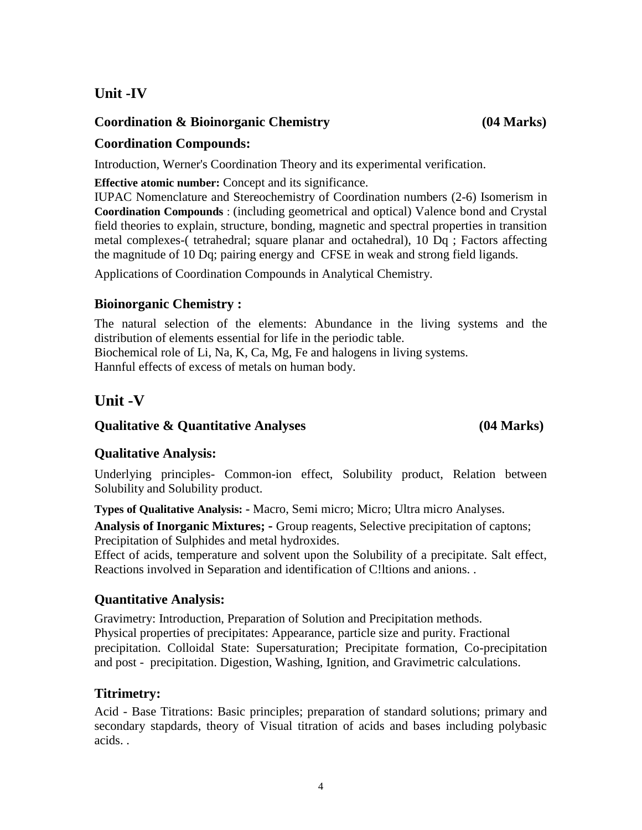## **Unit -IV**

## **Coordination & Bioinorganic Chemistry (04 Marks)**

## **Coordination Compounds:**

Introduction, Werner's Coordination Theory and its experimental verification.

**Effective atomic number:** Concept and its significance.

IUPAC Nomenclature and Stereochemistry of Coordination numbers (2-6) Isomerism in **Coordination Compounds** : (including geometrical and optical) Valence bond and Crystal field theories to explain, structure, bonding, magnetic and spectral properties in transition metal complexes-( tetrahedral; square planar and octahedral), 10 Dq ; Factors affecting the magnitude of 10 Dq; pairing energy and CFSE in weak and strong field ligands.

Applications of Coordination Compounds in Analytical Chemistry.

## **Bioinorganic Chemistry :**

The natural selection of the elements: Abundance in the living systems and the distribution of elements essential for life in the periodic table. Biochemical role of Li, Na, K, Ca, Mg, Fe and halogens in living systems. Hannful effects of excess of metals on human body.

## **Unit -V**

## **Qualitative & Quantitative Analyses (04 Marks)**

## **Qualitative Analysis:**

Underlying principles- Common-ion effect, Solubility product, Relation between Solubility and Solubility product.

**Types of Qualitative Analysis: -** Macro, Semi micro; Micro; Ultra micro Analyses. **Analysis of Inorganic Mixtures; -** Group reagents, Selective precipitation of captons;

Precipitation of Sulphides and metal hydroxides.

Effect of acids, temperature and solvent upon the Solubility of a precipitate. Salt effect, Reactions involved in Separation and identification of C!ltions and anions. .

## **Quantitative Analysis:**

Gravimetry: Introduction, Preparation of Solution and Precipitation methods. Physical properties of precipitates: Appearance, particle size and purity. Fractional precipitation. Colloidal State: Supersaturation; Precipitate formation, Co-precipitation and post - precipitation. Digestion, Washing, Ignition, and Gravimetric calculations.

## **Titrimetry:**

Acid - Base Titrations: Basic principles; preparation of standard solutions; primary and secondary stapdards, theory of Visual titration of acids and bases including polybasic acids. .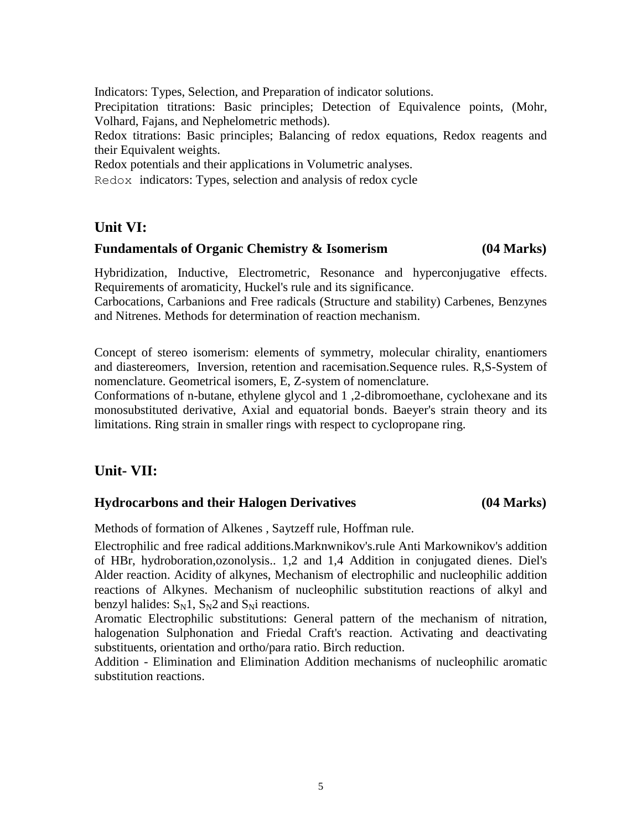Indicators: Types, Selection, and Preparation of indicator solutions. Precipitation titrations: Basic principles; Detection of Equivalence points, (Mohr, Volhard, Fajans, and Nephelometric methods). Redox titrations: Basic principles; Balancing of redox equations, Redox reagents and their Equivalent weights. Redox potentials and their applications in Volumetric analyses.

Redox indicators: Types, selection and analysis of redox cycle

## **Unit VI:**

## **Fundamentals of Organic Chemistry & Isomerism (04 Marks)**

Hybridization, Inductive, Electrometric, Resonance and hyperconjugative effects. Requirements of aromaticity, Huckel's rule and its significance.

Carbocations, Carbanions and Free radicals (Structure and stability) Carbenes, Benzynes and Nitrenes. Methods for determination of reaction mechanism.

Concept of stereo isomerism: elements of symmetry, molecular chirality, enantiomers and diastereomers, Inversion, retention and racemisation.Sequence rules. R,S-System of nomenclature. Geometrical isomers, E, Z-system of nomenclature.

Conformations of n-butane, ethylene glycol and 1 ,2-dibromoethane, cyclohexane and its monosubstituted derivative, Axial and equatorial bonds. Baeyer's strain theory and its limitations. Ring strain in smaller rings with respect to cyclopropane ring.

## **Unit- VII:**

## **Hydrocarbons and their Halogen Derivatives (04 Marks)**

Methods of formation of Alkenes , Saytzeff rule, Hoffman rule.

Electrophilic and free radical additions.Marknwnikov's.rule Anti Markownikov's addition of HBr, hydroboration,ozonolysis.. 1,2 and 1,4 Addition in conjugated dienes. Diel's Alder reaction. Acidity of alkynes, Mechanism of electrophilic and nucleophilic addition reactions of Alkynes. Mechanism of nucleophilic substitution reactions of alkyl and benzyl halides:  $S_N$ 1,  $S_N$ 2 and  $S_N$ i reactions.

Aromatic Electrophilic substitutions: General pattern of the mechanism of nitration, halogenation Sulphonation and Friedal Craft's reaction. Activating and deactivating substituents, orientation and ortho/para ratio. Birch reduction.

Addition - Elimination and Elimination Addition mechanisms of nucleophilic aromatic substitution reactions.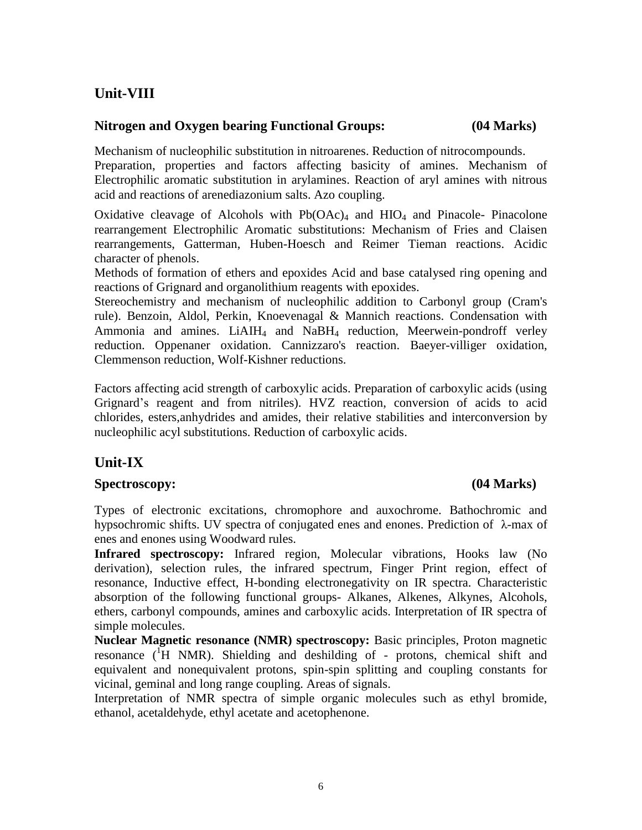## **Unit-VIII**

## **Nitrogen and Oxygen bearing Functional Groups: (04 Marks)**

Mechanism of nucleophilic substitution in nitroarenes. Reduction of nitrocompounds. Preparation, properties and factors affecting basicity of amines. Mechanism of Electrophilic aromatic substitution in arylamines. Reaction of aryl amines with nitrous acid and reactions of arenediazonium salts. Azo coupling.

Oxidative cleavage of Alcohols with  $Pb(OAc)<sub>4</sub>$  and HIO<sub>4</sub> and Pinacole- Pinacolone rearrangement Electrophilic Aromatic substitutions: Mechanism of Fries and Claisen rearrangements, Gatterman, Huben-Hoesch and Reimer Tieman reactions. Acidic character of phenols.

Methods of formation of ethers and epoxides Acid and base catalysed ring opening and reactions of Grignard and organolithium reagents with epoxides.

Stereochemistry and mechanism of nucleophilic addition to Carbonyl group (Cram's rule). Benzoin, Aldol, Perkin, Knoevenagal & Mannich reactions. Condensation with Ammonia and amines. LiAIH<sub>4</sub> and NaBH<sub>4</sub> reduction, Meerwein-pondroff verley reduction. Oppenaner oxidation. Cannizzaro's reaction. Baeyer-villiger oxidation, Clemmenson reduction, Wolf-Kishner reductions.

Factors affecting acid strength of carboxylic acids. Preparation of carboxylic acids (using Grignard's reagent and from nitriles). HVZ reaction, conversion of acids to acid chlorides, esters,anhydrides and amides, their relative stabilities and interconversion by nucleophilic acyl substitutions. Reduction of carboxylic acids.

## **Unit-IX**

## **Spectroscopy: (04 Marks)**

Types of electronic excitations, chromophore and auxochrome. Bathochromic and hypsochromic shifts. UV spectra of conjugated enes and enones. Prediction of λ-max of enes and enones using Woodward rules.

**Infrared spectroscopy:** Infrared region, Molecular vibrations, Hooks law (No derivation), selection rules, the infrared spectrum, Finger Print region, effect of resonance, Inductive effect, H-bonding electronegativity on IR spectra. Characteristic absorption of the following functional groups- Alkanes, Alkenes, Alkynes, Alcohols, ethers, carbonyl compounds, amines and carboxylic acids. Interpretation of IR spectra of simple molecules.

**Nuclear Magnetic resonance (NMR) spectroscopy:** Basic principles, Proton magnetic resonance  $({}^{1}H$  NMR). Shielding and deshilding of - protons, chemical shift and equivalent and nonequivalent protons, spin-spin splitting and coupling constants for vicinal, geminal and long range coupling. Areas of signals.

Interpretation of NMR spectra of simple organic molecules such as ethyl bromide, ethanol, acetaldehyde, ethyl acetate and acetophenone.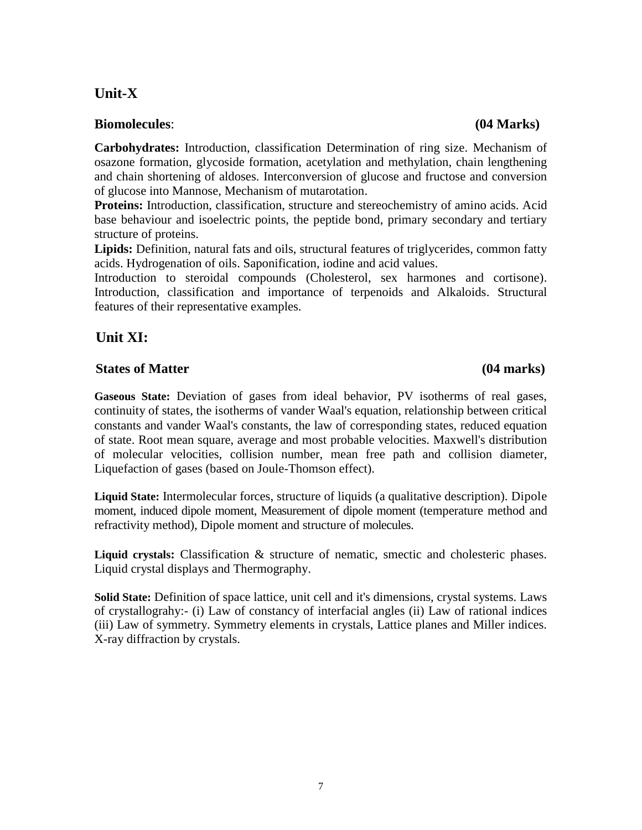## **Unit-X**

## **Biomolecules**: **(04 Marks)**

**Carbohydrates:** Introduction, classification Determination of ring size. Mechanism of osazone formation, glycoside formation, acetylation and methylation, chain lengthening and chain shortening of aldoses. Interconversion of glucose and fructose and conversion of glucose into Mannose, Mechanism of mutarotation.

**Proteins:** Introduction, classification, structure and stereochemistry of amino acids. Acid base behaviour and isoelectric points, the peptide bond, primary secondary and tertiary structure of proteins.

**Lipids:** Definition, natural fats and oils, structural features of triglycerides, common fatty acids. Hydrogenation of oils. Saponification, iodine and acid values.

Introduction to steroidal compounds (Cholesterol, sex harmones and cortisone). Introduction, classification and importance of terpenoids and Alkaloids. Structural features of their representative examples.

## **Unit XI:**

## **States of Matter (04 marks)**

### **Gaseous State:** Deviation of gases from ideal behavior, PV isotherms of real gases, continuity of states, the isotherms of vander Waal's equation, relationship between critical constants and vander Waal's constants, the law of corresponding states, reduced equation of state. Root mean square, average and most probable velocities. Maxwell's distribution of molecular velocities, collision number, mean free path and collision diameter, Liquefaction of gases (based on Joule-Thomson effect).

**Liquid State:** Intermolecular forces, structure of liquids (a qualitative description). Dipole moment, induced dipole moment, Measurement of dipole moment (temperature method and refractivity method), Dipole moment and structure of molecules.

**Liquid crystals:** Classification & structure of nematic, smectic and cholesteric phases. Liquid crystal displays and Thermography.

**Solid State:** Definition of space lattice, unit cell and it's dimensions, crystal systems. Laws of crystallograhy:- (i) Law of constancy of interfacial angles (ii) Law of rational indices (iii) Law of symmetry. Symmetry elements in crystals, Lattice planes and Miller indices. X-ray diffraction by crystals.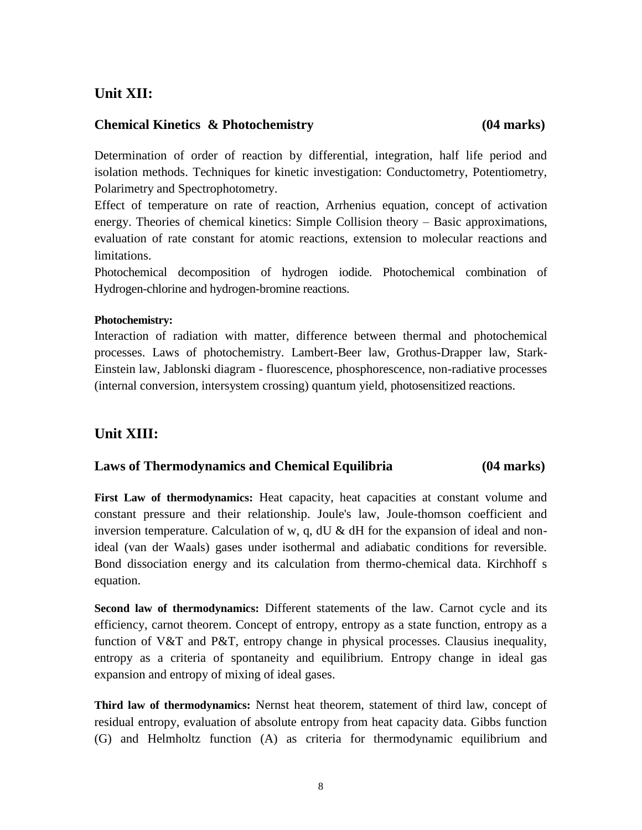## **Unit XII:**

#### **Chemical Kinetics & Photochemistry (04 marks)**

Determination of order of reaction by differential, integration, half life period and isolation methods. Techniques for kinetic investigation: Conductometry, Potentiometry, Polarimetry and Spectrophotometry.

Effect of temperature on rate of reaction, Arrhenius equation, concept of activation energy. Theories of chemical kinetics: Simple Collision theory – Basic approximations, evaluation of rate constant for atomic reactions, extension to molecular reactions and limitations.

Photochemical decomposition of hydrogen iodide. Photochemical combination of Hydrogen-chlorine and hydrogen-bromine reactions.

#### **Photochemistry:**

Interaction of radiation with matter, difference between thermal and photochemical processes. Laws of photochemistry. Lambert-Beer law, Grothus-Drapper law, Stark-Einstein law, Jablonski diagram - fluorescence, phosphorescence, non-radiative processes (internal conversion, intersystem crossing) quantum yield, photosensitized reactions.

## **Unit XIII:**

#### **Laws of Thermodynamics and Chemical Equilibria (04 marks)**

**First Law of thermodynamics:** Heat capacity, heat capacities at constant volume and constant pressure and their relationship. Joule's law, Joule-thomson coefficient and inversion temperature. Calculation of w, q,  $dU \& dH$  for the expansion of ideal and nonideal (van der Waals) gases under isothermal and adiabatic conditions for reversible. Bond dissociation energy and its calculation from thermo-chemical data. Kirchhoff s equation.

**Second law of thermodynamics:** Different statements of the law. Carnot cycle and its efficiency, carnot theorem. Concept of entropy, entropy as a state function, entropy as a function of V&T and P&T, entropy change in physical processes. Clausius inequality, entropy as a criteria of spontaneity and equilibrium. Entropy change in ideal gas expansion and entropy of mixing of ideal gases.

**Third law of thermodynamics:** Nernst heat theorem, statement of third law, concept of residual entropy, evaluation of absolute entropy from heat capacity data. Gibbs function (G) and Helmholtz function (A) as criteria for thermodynamic equilibrium and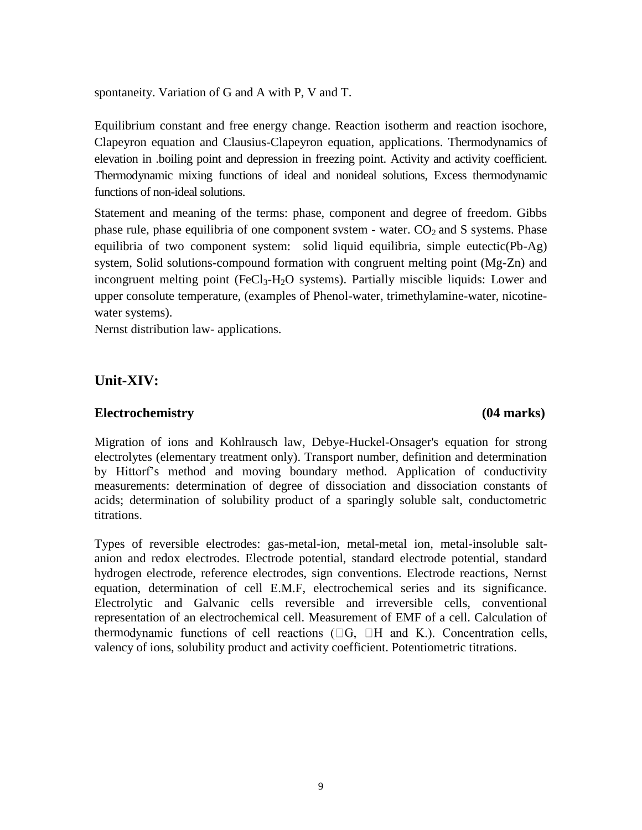spontaneity. Variation of G and A with P, V and T.

Equilibrium constant and free energy change. Reaction isotherm and reaction isochore, Clapeyron equation and Clausius-Clapeyron equation, applications. Thermodynamics of elevation in .boiling point and depression in freezing point. Activity and activity coefficient. Thermodynamic mixing functions of ideal and nonideal solutions, Excess thermodynamic functions of non-ideal solutions.

Statement and meaning of the terms: phase, component and degree of freedom. Gibbs phase rule, phase equilibria of one component system - water.  $CO<sub>2</sub>$  and S systems. Phase equilibria of two component system: solid liquid equilibria, simple eutectic(Pb-Ag) system, Solid solutions-compound formation with congruent melting point (Mg-Zn) and incongruent melting point  $(FeCl<sub>3</sub>-H<sub>2</sub>O$  systems). Partially miscible liquids: Lower and upper consolute temperature, (examples of Phenol-water, trimethylamine-water, nicotinewater systems).

Nernst distribution law- applications.

## **Unit-XIV:**

#### **Electrochemistry (04 marks)**

Migration of ions and Kohlrausch law, Debye-Huckel-Onsager's equation for strong electrolytes (elementary treatment only). Transport number, definition and determination by Hittorf's method and moving boundary method. Application of conductivity measurements: determination of degree of dissociation and dissociation constants of acids; determination of solubility product of a sparingly soluble salt, conductometric titrations.

Types of reversible electrodes: gas-metal-ion, metal-metal ion, metal-insoluble saltanion and redox electrodes. Electrode potential, standard electrode potential, standard hydrogen electrode, reference electrodes, sign conventions. Electrode reactions, Nernst equation, determination of cell E.M.F, electrochemical series and its significance. Electrolytic and Galvanic cells reversible and irreversible cells, conventional representation of an electrochemical cell. Measurement of EMF of a cell. Calculation of thermodynamic functions of cell reactions  $(\Box G, \Box H$  and K.). Concentration cells, valency of ions, solubility product and activity coefficient. Potentiometric titrations.